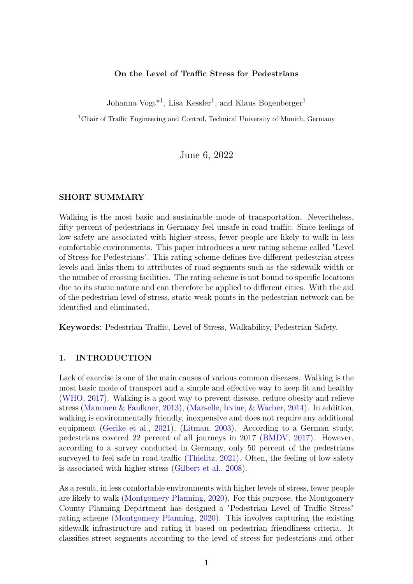#### **On the Level of Traffic Stress for Pedestrians**

Johanna Vogt<sup>\*1</sup>, Lisa Kessler<sup>1</sup>, and Klaus Bogenberger<sup>1</sup>

<sup>1</sup>Chair of Traffic Engineering and Control, Technical University of Munich, Germany

June 6, 2022

#### **SHORT SUMMARY**

Walking is the most basic and sustainable mode of transportation. Nevertheless, fifty percent of pedestrians in Germany feel unsafe in road traffic. Since feelings of low safety are associated with higher stress, fewer people are likely to walk in less comfortable environments. This paper introduces a new rating scheme called "Level of Stress for Pedestrians". This rating scheme defines five different pedestrian stress levels and links them to attributes of road segments such as the sidewalk width or the number of crossing facilities. The rating scheme is not bound to specific locations due to its static nature and can therefore be applied to different cities. With the aid of the pedestrian level of stress, static weak points in the pedestrian network can be identified and eliminated.

**Keywords**: Pedestrian Traffic, Level of Stress, Walkability, Pedestrian Safety.

### **1. INTRODUCTION**

Lack of exercise is one of the main causes of various common diseases. Walking is the most basic mode of transport and a simple and effective way to keep fit and healthy [\(WHO,](#page-8-0) [2017\)](#page-8-0). Walking is a good way to prevent disease, reduce obesity and relieve stress [\(Mammen & Faulkner,](#page-7-0) [2013\)](#page-7-0), [\(Marselle, Irvine, & Warber,](#page-7-1) [2014\)](#page-7-1). In addition, walking is environmentally friendly, inexpensive and does not require any additional equipment [\(Gerike et al.,](#page-7-2) [2021\)](#page-7-2), [\(Litman,](#page-7-3) [2003\)](#page-7-3). According to a German study, pedestrians covered 22 percent of all journeys in 2017 [\(BMDV,](#page-6-0) [2017\)](#page-6-0). However, according to a survey conducted in Germany, only 50 percent of the pedestrians surveyed to feel safe in road traffic [\(Thielitz,](#page-8-1) [2021\)](#page-8-1). Often, the feeling of low safety is associated with higher stress [\(Gilbert et al.,](#page-7-4) [2008\)](#page-7-4).

As a result, in less comfortable environments with higher levels of stress, fewer people are likely to walk [\(Montgomery Planning,](#page-7-5) [2020\)](#page-7-5). For this purpose, the Montgomery County Planning Department has designed a "Pedestrian Level of Traffic Stress" rating scheme [\(Montgomery Planning,](#page-7-5) [2020\)](#page-7-5). This involves capturing the existing sidewalk infrastructure and rating it based on pedestrian friendliness criteria. It classifies street segments according to the level of stress for pedestrians and other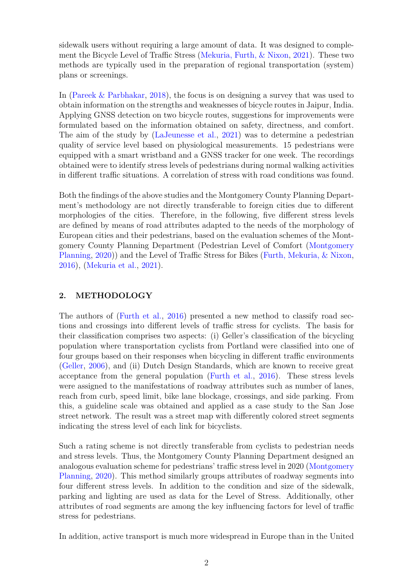sidewalk users without requiring a large amount of data. It was designed to complement the Bicycle Level of Traffic Stress [\(Mekuria, Furth, & Nixon,](#page-7-6) [2021\)](#page-7-6). These two methods are typically used in the preparation of regional transportation (system) plans or screenings.

In [\(Pareek & Parbhakar,](#page-7-7) [2018\)](#page-7-7), the focus is on designing a survey that was used to obtain information on the strengths and weaknesses of bicycle routes in Jaipur, India. Applying GNSS detection on two bicycle routes, suggestions for improvements were formulated based on the information obtained on safety, directness, and comfort. The aim of the study by [\(LaJeunesse et al.,](#page-7-8) [2021\)](#page-7-8) was to determine a pedestrian quality of service level based on physiological measurements. 15 pedestrians were equipped with a smart wristband and a GNSS tracker for one week. The recordings obtained were to identify stress levels of pedestrians during normal walking activities in different traffic situations. A correlation of stress with road conditions was found.

Both the findings of the above studies and the Montgomery County Planning Department's methodology are not directly transferable to foreign cities due to different morphologies of the cities. Therefore, in the following, five different stress levels are defined by means of road attributes adapted to the needs of the morphology of European cities and their pedestrians, based on the evaluation schemes of the Montgomery County Planning Department (Pedestrian Level of Comfort [\(Montgomery](#page-7-5) [Planning,](#page-7-5) [2020\)](#page-7-5)) and the Level of Traffic Stress for Bikes [\(Furth, Mekuria, & Nixon,](#page-7-9) [2016\)](#page-7-9), [\(Mekuria et al.,](#page-7-6) [2021\)](#page-7-6).

# **2. METHODOLOGY**

The authors of [\(Furth et al.,](#page-7-9) [2016\)](#page-7-9) presented a new method to classify road sections and crossings into different levels of traffic stress for cyclists. The basis for their classification comprises two aspects: (i) Geller's classification of the bicycling population where transportation cyclists from Portland were classified into one of four groups based on their responses when bicycling in different traffic environments [\(Geller,](#page-7-10) [2006\)](#page-7-10), and (ii) Dutch Design Standards, which are known to receive great acceptance from the general population [\(Furth et al.,](#page-7-9) [2016\)](#page-7-9). These stress levels were assigned to the manifestations of roadway attributes such as number of lanes, reach from curb, speed limit, bike lane blockage, crossings, and side parking. From this, a guideline scale was obtained and applied as a case study to the San Jose street network. The result was a street map with differently colored street segments indicating the stress level of each link for bicyclists.

Such a rating scheme is not directly transferable from cyclists to pedestrian needs and stress levels. Thus, the Montgomery County Planning Department designed an analogous evaluation scheme for pedestrians' traffic stress level in 2020 [\(Montgomery](#page-7-5) [Planning,](#page-7-5) [2020\)](#page-7-5). This method similarly groups attributes of roadway segments into four different stress levels. In addition to the condition and size of the sidewalk, parking and lighting are used as data for the Level of Stress. Additionally, other attributes of road segments are among the key influencing factors for level of traffic stress for pedestrians.

In addition, active transport is much more widespread in Europe than in the United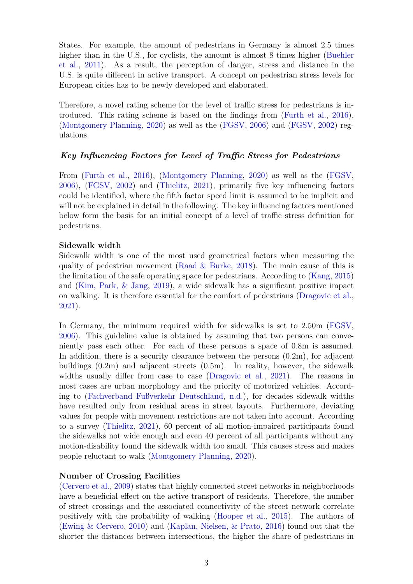States. For example, the amount of pedestrians in Germany is almost 2.5 times higher than in the U.S., for cyclists, the amount is almost 8 times higher [\(Buehler](#page-6-1) [et al.,](#page-6-1) [2011\)](#page-6-1). As a result, the perception of danger, stress and distance in the U.S. is quite different in active transport. A concept on pedestrian stress levels for European cities has to be newly developed and elaborated.

Therefore, a novel rating scheme for the level of traffic stress for pedestrians is introduced. This rating scheme is based on the findings from [\(Furth et al.,](#page-7-9) [2016\)](#page-7-9), [\(Montgomery Planning,](#page-7-5) [2020\)](#page-7-5) as well as the [\(FGSV,](#page-7-11) [2006\)](#page-7-11) and [\(FGSV,](#page-7-12) [2002\)](#page-7-12) regulations.

#### *Key Influencing Factors for Level of Traffic Stress for Pedestrians*

From [\(Furth et al.,](#page-7-9) [2016\)](#page-7-9), [\(Montgomery Planning,](#page-7-5) [2020\)](#page-7-5) as well as the [\(FGSV,](#page-7-11) [2006\)](#page-7-11), [\(FGSV,](#page-7-12) [2002\)](#page-7-12) and [\(Thielitz,](#page-8-1) [2021\)](#page-8-1), primarily five key influencing factors could be identified, where the fifth factor speed limit is assumed to be implicit and will not be explained in detail in the following. The key influencing factors mentioned below form the basis for an initial concept of a level of traffic stress definition for pedestrians.

#### **Sidewalk width**

Sidewalk width is one of the most used geometrical factors when measuring the quality of pedestrian movement [\(Raad & Burke,](#page-8-2) [2018\)](#page-8-2). The main cause of this is the limitation of the safe operating space for pedestrians. According to [\(Kang,](#page-7-13) [2015\)](#page-7-13) and [\(Kim, Park, & Jang,](#page-7-14) [2019\)](#page-7-14), a wide sidewalk has a significant positive impact on walking. It is therefore essential for the comfort of pedestrians [\(Dragovic et al.,](#page-6-2) [2021\)](#page-6-2).

In Germany, the minimum required width for sidewalks is set to 2.50m [\(FGSV,](#page-7-11) [2006\)](#page-7-11). This guideline value is obtained by assuming that two persons can conveniently pass each other. For each of these persons a space of 0.8m is assumed. In addition, there is a security clearance between the persons (0.2m), for adjacent buildings (0.2m) and adjacent streets (0.5m). In reality, however, the sidewalk widths usually differ from case to case [\(Dragovic et al.,](#page-6-2) [2021\)](#page-6-2). The reasons in most cases are urban morphology and the priority of motorized vehicles. According to [\(Fachverband Fußverkehr Deutschland,](#page-6-3) [n.d.\)](#page-6-3), for decades sidewalk widths have resulted only from residual areas in street layouts. Furthermore, deviating values for people with movement restrictions are not taken into account. According to a survey [\(Thielitz,](#page-8-1) [2021\)](#page-8-1), 60 percent of all motion-impaired participants found the sidewalks not wide enough and even 40 percent of all participants without any motion-disability found the sidewalk width too small. This causes stress and makes people reluctant to walk [\(Montgomery Planning,](#page-7-5) [2020\)](#page-7-5).

#### **Number of Crossing Facilities**

[\(Cervero et al.,](#page-6-4) [2009\)](#page-6-4) states that highly connected street networks in neighborhoods have a beneficial effect on the active transport of residents. Therefore, the number of street crossings and the associated connectivity of the street network correlate positively with the probability of walking [\(Hooper et al.,](#page-7-15) [2015\)](#page-7-15). The authors of [\(Ewing & Cervero,](#page-6-5) [2010\)](#page-6-5) and [\(Kaplan, Nielsen, & Prato,](#page-7-16) [2016\)](#page-7-16) found out that the shorter the distances between intersections, the higher the share of pedestrians in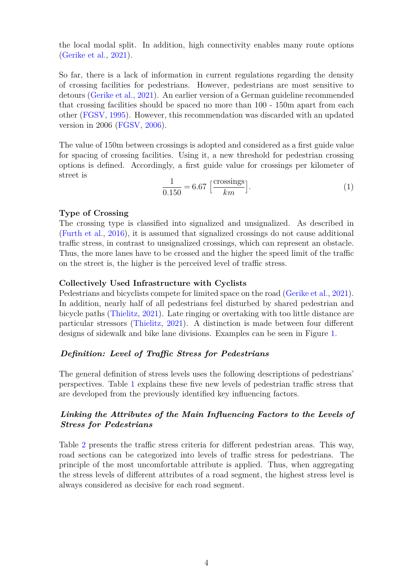the local modal split. In addition, high connectivity enables many route options [\(Gerike et al.,](#page-7-2) [2021\)](#page-7-2).

So far, there is a lack of information in current regulations regarding the density of crossing facilities for pedestrians. However, pedestrians are most sensitive to detours [\(Gerike et al.,](#page-7-2) [2021\)](#page-7-2). An earlier version of a German guideline recommended that crossing facilities should be spaced no more than 100 - 150m apart from each other [\(FGSV,](#page-7-17) [1995\)](#page-7-17). However, this recommendation was discarded with an updated version in 2006 [\(FGSV,](#page-7-11) [2006\)](#page-7-11).

The value of 150m between crossings is adopted and considered as a first guide value for spacing of crossing facilities. Using it, a new threshold for pedestrian crossing options is defined. Accordingly, a first guide value for crossings per kilometer of street is

$$
\frac{1}{0.150} = 6.67 \left[ \frac{\text{crossings}}{km} \right]. \tag{1}
$$

#### **Type of Crossing**

The crossing type is classified into signalized and unsignalized. As described in [\(Furth et al.,](#page-7-9) [2016\)](#page-7-9), it is assumed that signalized crossings do not cause additional traffic stress, in contrast to unsignalized crossings, which can represent an obstacle. Thus, the more lanes have to be crossed and the higher the speed limit of the traffic on the street is, the higher is the perceived level of traffic stress.

#### **Collectively Used Infrastructure with Cyclists**

Pedestrians and bicyclists compete for limited space on the road [\(Gerike et al.,](#page-7-2) [2021\)](#page-7-2). In addition, nearly half of all pedestrians feel disturbed by shared pedestrian and bicycle paths [\(Thielitz,](#page-8-1) [2021\)](#page-8-1). Late ringing or overtaking with too little distance are particular stressors [\(Thielitz,](#page-8-1) [2021\)](#page-8-1). A distinction is made between four different designs of sidewalk and bike lane divisions. Examples can be seen in Figure [1.](#page-4-0)

#### *Definition: Level of Traffic Stress for Pedestrians*

The general definition of stress levels uses the following descriptions of pedestrians' perspectives. Table [1](#page-5-0) explains these five new levels of pedestrian traffic stress that are developed from the previously identified key influencing factors.

## *Linking the Attributes of the Main Influencing Factors to the Levels of Stress for Pedestrians*

Table [2](#page-6-6) presents the traffic stress criteria for different pedestrian areas. This way, road sections can be categorized into levels of traffic stress for pedestrians. The principle of the most uncomfortable attribute is applied. Thus, when aggregating the stress levels of different attributes of a road segment, the highest stress level is always considered as decisive for each road segment.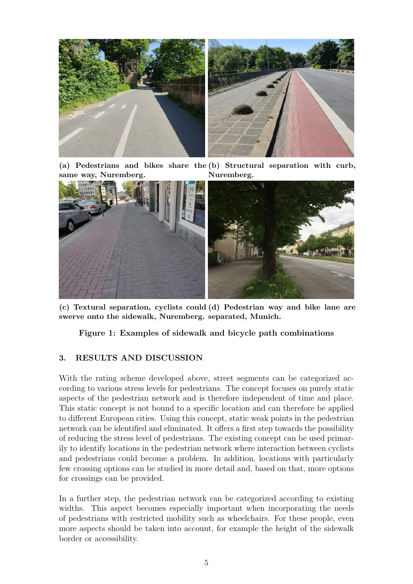<span id="page-4-0"></span>

**(a) Pedestrians and bikes share the (b) Structural separation with curb, same way, Nuremberg. Nuremberg.**



**(c) Textural separation, cyclists could (d) Pedestrian way and bike lane are swerve onto the sidewalk, Nuremberg. separated, Munich.**

**Figure 1: Examples of sidewalk and bicycle path combinations**

# **3. RESULTS AND DISCUSSION**

With the rating scheme developed above, street segments can be categorized according to various stress levels for pedestrians. The concept focuses on purely static aspects of the pedestrian network and is therefore independent of time and place. This static concept is not bound to a specific location and can therefore be applied to different European cities. Using this concept, static weak points in the pedestrian network can be identified and eliminated. It offers a first step towards the possibility of reducing the stress level of pedestrians. The existing concept can be used primarily to identify locations in the pedestrian network where interaction between cyclists and pedestrians could become a problem. In addition, locations with particularly few crossing options can be studied in more detail and, based on that, more options for crossings can be provided.

In a further step, the pedestrian network can be categorized according to existing widths. This aspect becomes especially important when incorporating the needs of pedestrians with restricted mobility such as wheelchairs. For these people, even more aspects should be taken into account, for example the height of the sidewalk border or accessibility.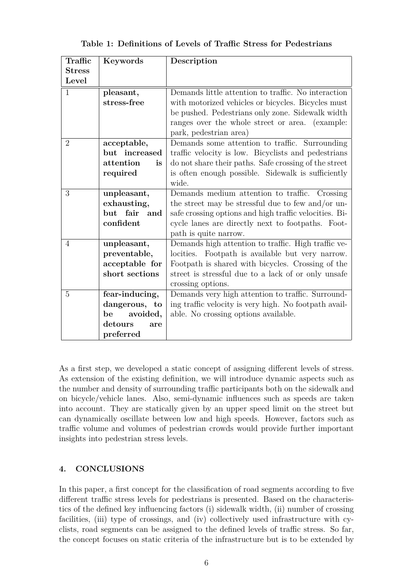<span id="page-5-0"></span>

| Traffic        | Keywords                             | Description                                            |  |  |  |
|----------------|--------------------------------------|--------------------------------------------------------|--|--|--|
| <b>Stress</b>  |                                      |                                                        |  |  |  |
| Level          |                                      |                                                        |  |  |  |
| $\mathbf{1}$   | pleasant,                            | Demands little attention to traffic. No interaction    |  |  |  |
|                | stress-free                          | with motorized vehicles or bicycles. Bicycles must     |  |  |  |
|                |                                      | be pushed. Pedestrians only zone. Sidewalk width       |  |  |  |
|                |                                      | ranges over the whole street or area. (example:        |  |  |  |
|                |                                      | park, pedestrian area)                                 |  |  |  |
| $\overline{2}$ | acceptable,                          | Demands some attention to traffic. Surrounding         |  |  |  |
|                | but increased                        | traffic velocity is low. Bicyclists and pedestrians    |  |  |  |
|                | attention<br><i>is</i>               | do not share their paths. Safe crossing of the street  |  |  |  |
|                | required                             | is often enough possible. Sidewalk is sufficiently     |  |  |  |
|                |                                      | wide.                                                  |  |  |  |
| 3              | unpleasant,                          | Demands medium attention to traffic. Crossing          |  |  |  |
|                | exhausting,                          | the street may be stressful due to few and/or un-      |  |  |  |
|                | but fair<br>$\quad \text{and} \quad$ | safe crossing options and high traffic velocities. Bi- |  |  |  |
|                | confident                            | cycle lanes are directly next to footpaths. Foot-      |  |  |  |
|                |                                      | path is quite narrow.                                  |  |  |  |
| 4              | unpleasant,                          | Demands high attention to traffic. High traffic ve-    |  |  |  |
|                | preventable,                         | locities. Footpath is available but very narrow.       |  |  |  |
|                | acceptable for                       | Footpath is shared with bicycles. Crossing of the      |  |  |  |
|                | short sections                       | street is stressful due to a lack of or only unsafe    |  |  |  |
|                |                                      | crossing options.                                      |  |  |  |
| 5              | fear-inducing,                       | Demands very high attention to traffic. Surround-      |  |  |  |
|                | dangerous, to                        | ing traffic velocity is very high. No footpath avail-  |  |  |  |
|                | avoided,<br>be                       | able. No crossing options available.                   |  |  |  |
|                | detours<br>are                       |                                                        |  |  |  |
|                | preferred                            |                                                        |  |  |  |

**Table 1: Definitions of Levels of Traffic Stress for Pedestrians**

As a first step, we developed a static concept of assigning different levels of stress. As extension of the existing definition, we will introduce dynamic aspects such as the number and density of surrounding traffic participants both on the sidewalk and on bicycle/vehicle lanes. Also, semi-dynamic influences such as speeds are taken into account. They are statically given by an upper speed limit on the street but can dynamically oscillate between low and high speeds. However, factors such as traffic volume and volumes of pedestrian crowds would provide further important insights into pedestrian stress levels.

#### **4. CONCLUSIONS**

In this paper, a first concept for the classification of road segments according to five different traffic stress levels for pedestrians is presented. Based on the characteristics of the defined key influencing factors (i) sidewalk width, (ii) number of crossing facilities, (iii) type of crossings, and (iv) collectively used infrastructure with cyclists, road segments can be assigned to the defined levels of traffic stress. So far, the concept focuses on static criteria of the infrastructure but is to be extended by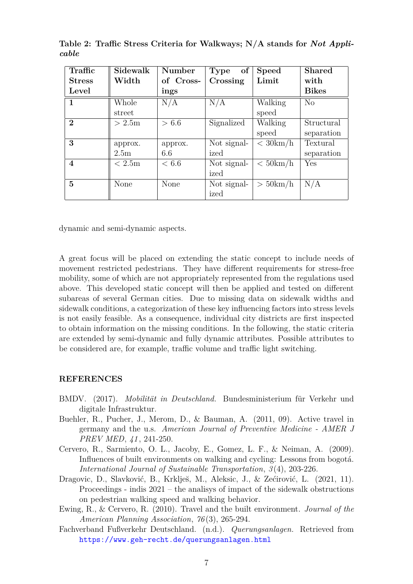| Traffic          | Sidewalk         | Number    | Type of     | <b>Speed</b> | <b>Shared</b> |
|------------------|------------------|-----------|-------------|--------------|---------------|
| <b>Stress</b>    | Width            | of Cross- | Crossing    | Limit        | with          |
| Level            |                  | ings      |             |              | <b>Bikes</b>  |
| $\mathbf{1}$     | Whole            | N/A       | N/A         | Walking      | No            |
|                  | street           |           |             | speed        |               |
| $\bf{2}$         | >2.5m            | > 6.6     | Signalized  | Walking      | Structural    |
|                  |                  |           |             | speed        | separation    |
| 3                | approx.          | approx.   | Not signal- | $<$ 30 km/h  | Textural      |
|                  | 2.5 <sub>m</sub> | 6.6       | ized        |              | separation    |
| $\boldsymbol{4}$ | < 2.5m           | < 6.6     | Not signal- | $<$ 50 km/h  | Yes           |
|                  |                  |           | ized        |              |               |
| $\overline{5}$   | None             | None      | Not signal- | $>$ 50 km/h  | N/A           |
|                  |                  |           | ized        |              |               |

<span id="page-6-6"></span>**Table 2: Traffic Stress Criteria for Walkways; N/A stands for** *Not Applicable*

dynamic and semi-dynamic aspects.

A great focus will be placed on extending the static concept to include needs of movement restricted pedestrians. They have different requirements for stress-free mobility, some of which are not appropriately represented from the regulations used above. This developed static concept will then be applied and tested on different subareas of several German cities. Due to missing data on sidewalk widths and sidewalk conditions, a categorization of these key influencing factors into stress levels is not easily feasible. As a consequence, individual city districts are first inspected to obtain information on the missing conditions. In the following, the static criteria are extended by semi-dynamic and fully dynamic attributes. Possible attributes to be considered are, for example, traffic volume and traffic light switching.

#### **REFERENCES**

- <span id="page-6-0"></span>BMDV. (2017). *Mobilität in Deutschland.* Bundesministerium für Verkehr und digitale Infrastruktur.
- <span id="page-6-1"></span>Buehler, R., Pucher, J., Merom, D., & Bauman, A. (2011, 09). Active travel in germany and the u.s. *American Journal of Preventive Medicine - AMER J PREV MED*, *41* , 241-250.
- <span id="page-6-4"></span>Cervero, R., Sarmiento, O. L., Jacoby, E., Gomez, L. F., & Neiman, A. (2009). Influences of built environments on walking and cycling: Lessons from bogotá. *International Journal of Sustainable Transportation*, *3* (4), 203-226.
- <span id="page-6-2"></span>Dragovic, D., Slavković, B., Krklješ, M., Aleksic, J., & Zećirović, L. (2021, 11). Proceedings - indis 2021 – the analisys of impact of the sidewalk obstructions on pedestrian walking speed and walking behavior.
- <span id="page-6-5"></span>Ewing, R., & Cervero, R. (2010). Travel and the built environment. *Journal of the American Planning Association*, *76* (3), 265-294.
- <span id="page-6-3"></span>Fachverband Fußverkehr Deutschland. (n.d.). *Querungsanlagen.* Retrieved from <https://www.geh-recht.de/querungsanlagen.html>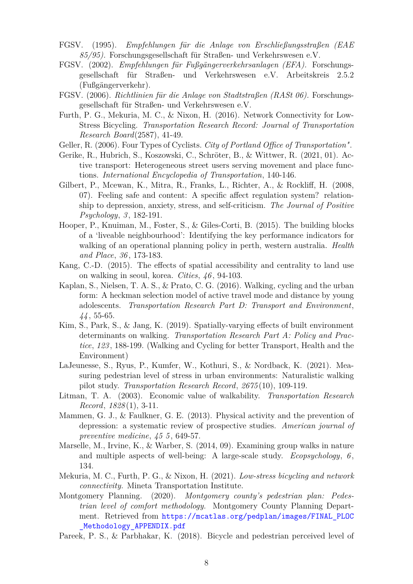- <span id="page-7-17"></span>FGSV. (1995). *Empfehlungen für die Anlage von Erschließungsstraßen (EAE 85/95).* Forschungsgesellschaft für Straßen- und Verkehrswesen e.V.
- <span id="page-7-12"></span>FGSV. (2002). *Empfehlungen für Fußgängerverkehrsanlagen (EFA).* Forschungsgesellschaft für Straßen- und Verkehrswesen e.V. Arbeitskreis 2.5.2 (Fußgängerverkehr).
- <span id="page-7-11"></span>FGSV. (2006). *Richtlinien für die Anlage von Stadtstraßen (RASt 06).* Forschungsgesellschaft für Straßen- und Verkehrswesen e.V.
- <span id="page-7-9"></span>Furth, P. G., Mekuria, M. C., & Nixon, H. (2016). Network Connectivity for Low-Stress Bicycling. *Transportation Research Record: Journal of Transportation Research Board*(2587), 41-49.
- <span id="page-7-10"></span>Geller, R. (2006). Four Types of Cyclists. *City of Portland Office of Transportation"*.
- <span id="page-7-2"></span>Gerike, R., Hubrich, S., Koszowski, C., Schröter, B., & Wittwer, R. (2021, 01). Active transport: Heterogeneous street users serving movement and place functions. *International Encyclopedia of Transportation*, 140-146.
- <span id="page-7-4"></span>Gilbert, P., Mcewan, K., Mitra, R., Franks, L., Richter, A., & Rockliff, H. (2008, 07). Feeling safe and content: A specific affect regulation system? relationship to depression, anxiety, stress, and self-criticism. *The Journal of Positive Psychology*, *3* , 182-191.
- <span id="page-7-15"></span>Hooper, P., Knuiman, M., Foster, S., & Giles-Corti, B. (2015). The building blocks of a 'liveable neighbourhood': Identifying the key performance indicators for walking of an operational planning policy in perth, western australia. *Health and Place*, *36* , 173-183.
- <span id="page-7-13"></span>Kang, C.-D. (2015). The effects of spatial accessibility and centrality to land use on walking in seoul, korea. *Cities*, *46* , 94-103.
- <span id="page-7-16"></span>Kaplan, S., Nielsen, T. A. S., & Prato, C. G. (2016). Walking, cycling and the urban form: A heckman selection model of active travel mode and distance by young adolescents. *Transportation Research Part D: Transport and Environment*, *44* , 55-65.
- <span id="page-7-14"></span>Kim, S., Park, S., & Jang, K. (2019). Spatially-varying effects of built environment determinants on walking. *Transportation Research Part A: Policy and Practice*, *123* , 188-199. (Walking and Cycling for better Transport, Health and the Environment)
- <span id="page-7-8"></span>LaJeunesse, S., Ryus, P., Kumfer, W., Kothuri, S., & Nordback, K. (2021). Measuring pedestrian level of stress in urban environments: Naturalistic walking pilot study. *Transportation Research Record*, *2675* (10), 109-119.
- <span id="page-7-3"></span>Litman, T. A. (2003). Economic value of walkability. *Transportation Research Record*, *1828* (1), 3-11.
- <span id="page-7-0"></span>Mammen, G. J., & Faulkner, G. E. (2013). Physical activity and the prevention of depression: a systematic review of prospective studies. *American journal of preventive medicine*, *45 5* , 649-57.
- <span id="page-7-1"></span>Marselle, M., Irvine, K., & Warber, S. (2014, 09). Examining group walks in nature and multiple aspects of well-being: A large-scale study. *Ecopsychology*, *6* , 134.
- <span id="page-7-6"></span>Mekuria, M. C., Furth, P. G., & Nixon, H. (2021). *Low-stress bicycling and network connectivity.* Mineta Transportation Institute.
- <span id="page-7-5"></span>Montgomery Planning. (2020). *Montgomery county's pedestrian plan: Pedestrian level of comfort methodology.* Montgomery County Planning Department. Retrieved from [https://mcatlas.org/pedplan/images/FINAL\\_PLOC](https://mcatlas.org/pedplan/images/FINAL_PLOC_Methodology_APPENDIX.pdf) Methodology APPENDIX.pdf
- <span id="page-7-7"></span>Pareek, P. S., & Parbhakar, K. (2018). Bicycle and pedestrian perceived level of